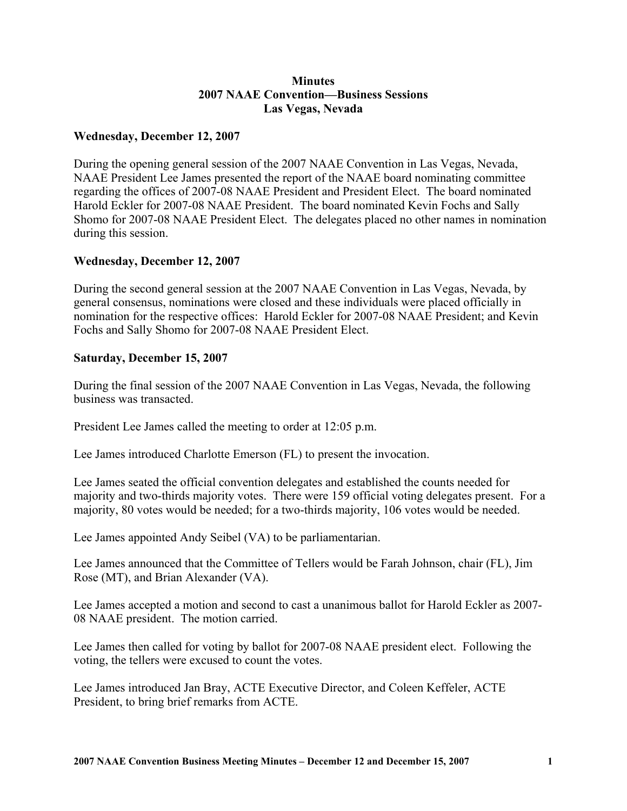## **Minutes 2007 NAAE Convention—Business Sessions Las Vegas, Nevada**

## **Wednesday, December 12, 2007**

During the opening general session of the 2007 NAAE Convention in Las Vegas, Nevada, NAAE President Lee James presented the report of the NAAE board nominating committee regarding the offices of 2007-08 NAAE President and President Elect. The board nominated Harold Eckler for 2007-08 NAAE President. The board nominated Kevin Fochs and Sally Shomo for 2007-08 NAAE President Elect. The delegates placed no other names in nomination during this session.

## **Wednesday, December 12, 2007**

During the second general session at the 2007 NAAE Convention in Las Vegas, Nevada, by general consensus, nominations were closed and these individuals were placed officially in nomination for the respective offices: Harold Eckler for 2007-08 NAAE President; and Kevin Fochs and Sally Shomo for 2007-08 NAAE President Elect.

## **Saturday, December 15, 2007**

During the final session of the 2007 NAAE Convention in Las Vegas, Nevada, the following business was transacted.

President Lee James called the meeting to order at 12:05 p.m.

Lee James introduced Charlotte Emerson (FL) to present the invocation.

Lee James seated the official convention delegates and established the counts needed for majority and two-thirds majority votes. There were 159 official voting delegates present. For a majority, 80 votes would be needed; for a two-thirds majority, 106 votes would be needed.

Lee James appointed Andy Seibel (VA) to be parliamentarian.

Lee James announced that the Committee of Tellers would be Farah Johnson, chair (FL), Jim Rose (MT), and Brian Alexander (VA).

Lee James accepted a motion and second to cast a unanimous ballot for Harold Eckler as 2007- 08 NAAE president. The motion carried.

Lee James then called for voting by ballot for 2007-08 NAAE president elect. Following the voting, the tellers were excused to count the votes.

Lee James introduced Jan Bray, ACTE Executive Director, and Coleen Keffeler, ACTE President, to bring brief remarks from ACTE.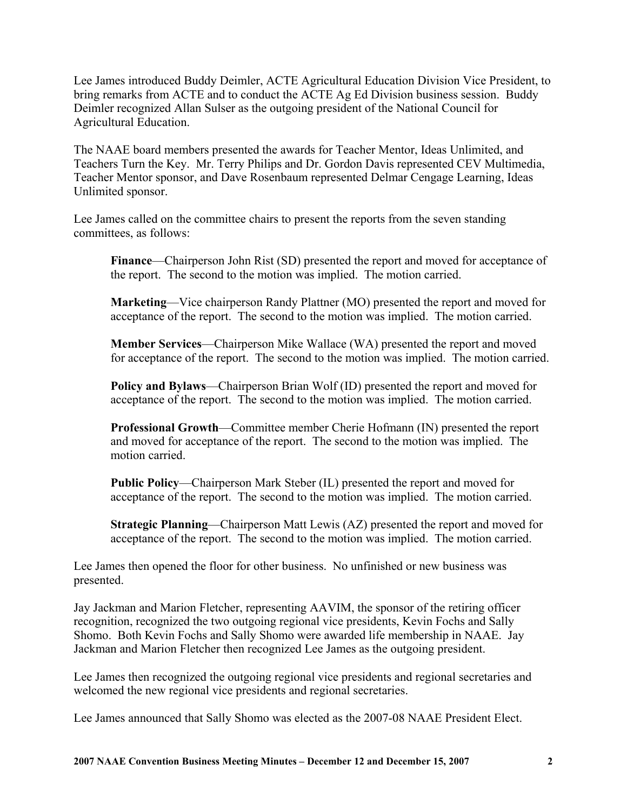Lee James introduced Buddy Deimler, ACTE Agricultural Education Division Vice President, to bring remarks from ACTE and to conduct the ACTE Ag Ed Division business session. Buddy Deimler recognized Allan Sulser as the outgoing president of the National Council for Agricultural Education.

The NAAE board members presented the awards for Teacher Mentor, Ideas Unlimited, and Teachers Turn the Key. Mr. Terry Philips and Dr. Gordon Davis represented CEV Multimedia, Teacher Mentor sponsor, and Dave Rosenbaum represented Delmar Cengage Learning, Ideas Unlimited sponsor.

Lee James called on the committee chairs to present the reports from the seven standing committees, as follows:

**Finance**—Chairperson John Rist (SD) presented the report and moved for acceptance of the report. The second to the motion was implied. The motion carried.

**Marketing**—Vice chairperson Randy Plattner (MO) presented the report and moved for acceptance of the report. The second to the motion was implied. The motion carried.

**Member Services**—Chairperson Mike Wallace (WA) presented the report and moved for acceptance of the report. The second to the motion was implied. The motion carried.

**Policy and Bylaws**—Chairperson Brian Wolf (ID) presented the report and moved for acceptance of the report. The second to the motion was implied. The motion carried.

**Professional Growth**—Committee member Cherie Hofmann (IN) presented the report and moved for acceptance of the report. The second to the motion was implied. The motion carried.

**Public Policy**—Chairperson Mark Steber (IL) presented the report and moved for acceptance of the report. The second to the motion was implied. The motion carried.

**Strategic Planning**—Chairperson Matt Lewis (AZ) presented the report and moved for acceptance of the report. The second to the motion was implied. The motion carried.

Lee James then opened the floor for other business. No unfinished or new business was presented.

Jay Jackman and Marion Fletcher, representing AAVIM, the sponsor of the retiring officer recognition, recognized the two outgoing regional vice presidents, Kevin Fochs and Sally Shomo. Both Kevin Fochs and Sally Shomo were awarded life membership in NAAE. Jay Jackman and Marion Fletcher then recognized Lee James as the outgoing president.

Lee James then recognized the outgoing regional vice presidents and regional secretaries and welcomed the new regional vice presidents and regional secretaries.

Lee James announced that Sally Shomo was elected as the 2007-08 NAAE President Elect.